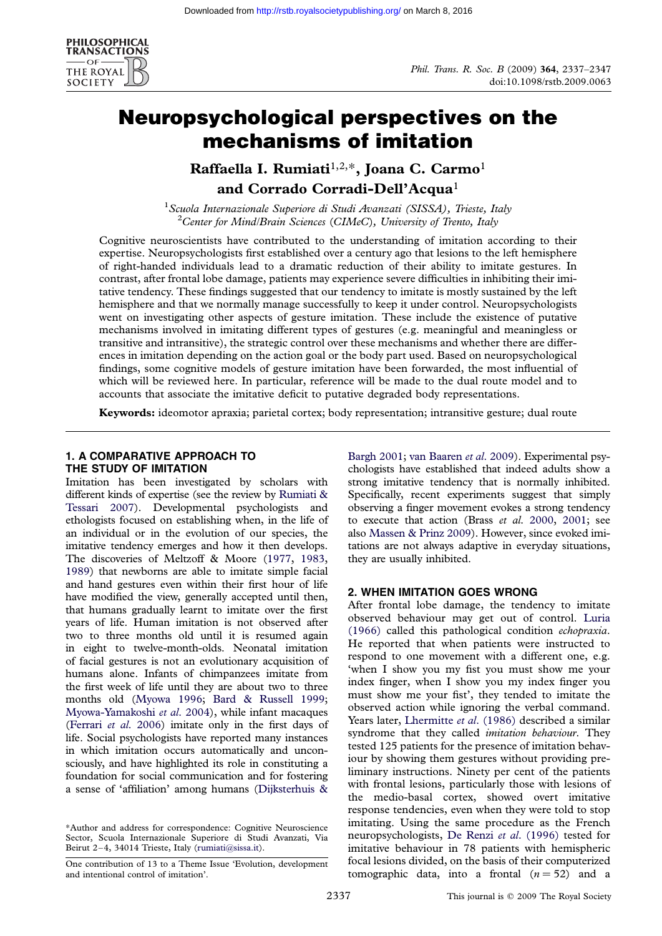

# Neuropsychological perspectives on the mechanisms of imitation

Raffaella I. Rumiati<sup>1,2,\*</sup>, Joana C. Carmo<sup>1</sup> and Corrado Corradi-Dell'Acqua<sup>1</sup>

<sup>1</sup> Scuola Internazionale Superiore di Studi Avanzati (SISSA), Trieste, Italy<br><sup>2</sup> Center for Mind/Brain Sciences (CIMeC), University of Tranta, Italy <sup>2</sup> Center for Mind/Brain Sciences (CIMeC), University of Trento, Italy

Cognitive neuroscientists have contributed to the understanding of imitation according to their expertise. Neuropsychologists first established over a century ago that lesions to the left hemisphere of right-handed individuals lead to a dramatic reduction of their ability to imitate gestures. In contrast, after frontal lobe damage, patients may experience severe difficulties in inhibiting their imitative tendency. These findings suggested that our tendency to imitate is mostly sustained by the left hemisphere and that we normally manage successfully to keep it under control. Neuropsychologists went on investigating other aspects of gesture imitation. These include the existence of putative mechanisms involved in imitating different types of gestures (e.g. meaningful and meaningless or transitive and intransitive), the strategic control over these mechanisms and whether there are differences in imitation depending on the action goal or the body part used. Based on neuropsychological findings, some cognitive models of gesture imitation have been forwarded, the most influential of which will be reviewed here. In particular, reference will be made to the dual route model and to accounts that associate the imitative deficit to putative degraded body representations.

Keywords: ideomotor apraxia; parietal cortex; body representation; intransitive gesture; dual route

## 1. A COMPARATIVE APPROACH TO THE STUDY OF IMITATION

Imitation has been investigated by scholars with different kinds of expertise (see the review by [Rumiati &](#page-10-0) [Tessari 2007\)](#page-10-0). Developmental psychologists and ethologists focused on establishing when, in the life of an individual or in the evolution of our species, the imitative tendency emerges and how it then develops. The discoveries of Meltzoff & Moore [\(1977,](#page-9-0) [1983](#page-9-0), [1989\)](#page-9-0) that newborns are able to imitate simple facial and hand gestures even within their first hour of life have modified the view, generally accepted until then, that humans gradually learnt to imitate over the first years of life. Human imitation is not observed after two to three months old until it is resumed again in eight to twelve-month-olds. Neonatal imitation of facial gestures is not an evolutionary acquisition of humans alone. Infants of chimpanzees imitate from the first week of life until they are about two to three months old [\(Myowa 1996;](#page-9-0) [Bard & Russell 1999](#page-8-0); [Myowa-Yamakoshi](#page-10-0) et al. 2004), while infant macaques (Ferrari et al[. 2006\)](#page-9-0) imitate only in the first days of life. Social psychologists have reported many instances in which imitation occurs automatically and unconsciously, and have highlighted its role in constituting a foundation for social communication and for fostering a sense of 'affiliation' among humans [\(Dijksterhuis &](#page-9-0)

\*Author and address for correspondence: Cognitive Neuroscience Sector, Scuola Internazionale Superiore di Studi Avanzati, Via Beirut 2–4, 34014 Trieste, Italy ([rumiati@sissa.it\)](mailto:rumiati@sissa.it).

[Bargh 2001;](#page-9-0) [van Baaren](#page-10-0) et al. 2009). Experimental psychologists have established that indeed adults show a strong imitative tendency that is normally inhibited. Specifically, recent experiments suggest that simply observing a finger movement evokes a strong tendency to execute that action (Brass et al. [2000,](#page-8-0) [2001;](#page-8-0) see also [Massen & Prinz 2009\)](#page-9-0). However, since evoked imitations are not always adaptive in everyday situations, they are usually inhibited.

## 2. WHEN IMITATION GOES WRONG

After frontal lobe damage, the tendency to imitate observed behaviour may get out of control. [Luria](#page-9-0) [\(1966\)](#page-9-0) called this pathological condition echopraxia. He reported that when patients were instructed to respond to one movement with a different one, e.g. 'when I show you my fist you must show me your index finger, when I show you my index finger you must show me your fist', they tended to imitate the observed action while ignoring the verbal command. Years later, [Lhermitte](#page-9-0) et al. (1986) described a similar syndrome that they called imitation behaviour. They tested 125 patients for the presence of imitation behaviour by showing them gestures without providing preliminary instructions. Ninety per cent of the patients with frontal lesions, particularly those with lesions of the medio-basal cortex, showed overt imitative response tendencies, even when they were told to stop imitating. Using the same procedure as the French neuropsychologists, [De Renzi](#page-9-0) et al. (1996) tested for imitative behaviour in 78 patients with hemispheric focal lesions divided, on the basis of their computerized tomographic data, into a frontal  $(n = 52)$  and a

One contribution of 13 to a Theme Issue 'Evolution, development and intentional control of imitation'.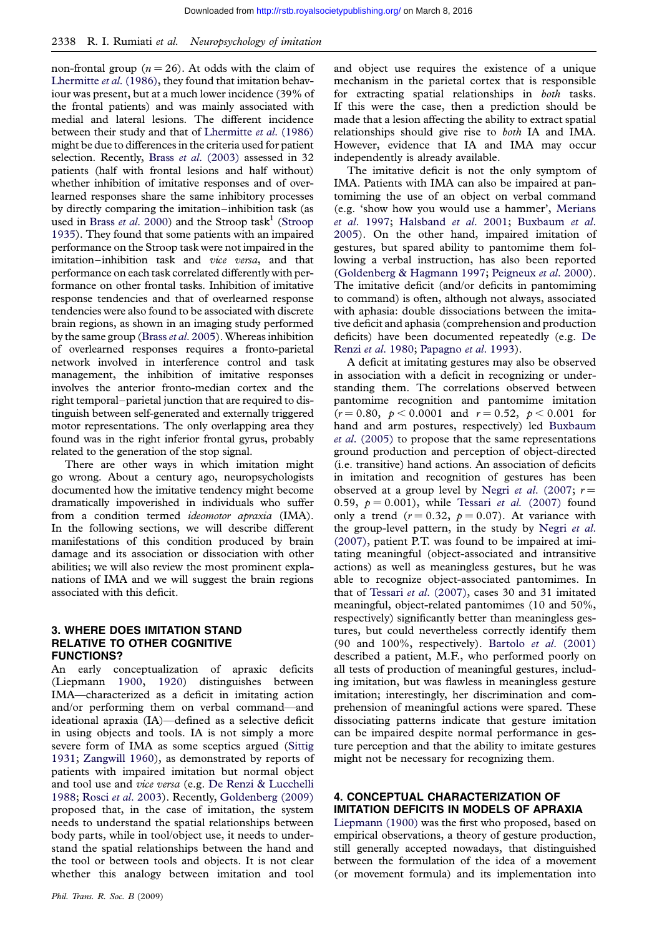non-frontal group ( $n = 26$ ). At odds with the claim of [Lhermitte](#page-9-0) et al. (1986), they found that imitation behaviour was present, but at a much lower incidence (39% of the frontal patients) and was mainly associated with medial and lateral lesions. The different incidence between their study and that of [Lhermitte](#page-9-0) et al. (1986) might be due to differences in the criteria used for patient selection. Recently, Brass et al[. \(2003\)](#page-8-0) assessed in 32 patients (half with frontal lesions and half without) whether inhibition of imitative responses and of overlearned responses share the same inhibitory processes by directly comparing the imitation–inhibition task (as used in Brass *et al.* 2000) and the Stroop task<sup>1</sup> [\(Stroop](#page-10-0) [1935\)](#page-10-0). They found that some patients with an impaired performance on the Stroop task were not impaired in the imitation–inhibition task and vice versa, and that performance on each task correlated differently with performance on other frontal tasks. Inhibition of imitative response tendencies and that of overlearned response tendencies were also found to be associated with discrete brain regions, as shown in an imaging study performed by the same group (Brasset al[. 2005](#page-8-0)).Whereas inhibition of overlearned responses requires a fronto-parietal network involved in interference control and task management, the inhibition of imitative responses involves the anterior fronto-median cortex and the right temporal–parietal junction that are required to distinguish between self-generated and externally triggered motor representations. The only overlapping area they found was in the right inferior frontal gyrus, probably related to the generation of the stop signal.

There are other ways in which imitation might go wrong. About a century ago, neuropsychologists documented how the imitative tendency might become dramatically impoverished in individuals who suffer from a condition termed ideomotor apraxia (IMA). In the following sections, we will describe different manifestations of this condition produced by brain damage and its association or dissociation with other abilities; we will also review the most prominent explanations of IMA and we will suggest the brain regions associated with this deficit.

## 3. WHERE DOES IMITATION STAND RELATIVE TO OTHER COGNITIVE FUNCTIONS?

An early conceptualization of apraxic deficits (Liepmann [1900](#page-9-0), [1920](#page-9-0)) distinguishes between IMA—characterized as a deficit in imitating action and/or performing them on verbal command—and ideational apraxia (IA)—defined as a selective deficit in using objects and tools. IA is not simply a more severe form of IMA as some sceptics argued [\(Sittig](#page-10-0) [1931](#page-10-0); [Zangwill 1960\)](#page-10-0), as demonstrated by reports of patients with impaired imitation but normal object and tool use and vice versa (e.g. [De Renzi & Lucchelli](#page-9-0) [1988](#page-9-0); Rosci et al[. 2003\)](#page-10-0). Recently, [Goldenberg \(2009\)](#page-9-0) proposed that, in the case of imitation, the system needs to understand the spatial relationships between body parts, while in tool/object use, it needs to understand the spatial relationships between the hand and the tool or between tools and objects. It is not clear whether this analogy between imitation and tool

and object use requires the existence of a unique mechanism in the parietal cortex that is responsible for extracting spatial relationships in both tasks. If this were the case, then a prediction should be made that a lesion affecting the ability to extract spatial relationships should give rise to both IA and IMA. However, evidence that IA and IMA may occur independently is already available.

The imitative deficit is not the only symptom of IMA. Patients with IMA can also be impaired at pantomiming the use of an object on verbal command (e.g. 'show how you would use a hammer', [Merians](#page-9-0) et al[. 1997;](#page-9-0) [Halsband](#page-9-0) et al. 2001; [Buxbaum](#page-8-0) et al. [2005](#page-8-0)). On the other hand, impaired imitation of gestures, but spared ability to pantomime them following a verbal instruction, has also been reported [\(Goldenberg & Hagmann 1997;](#page-9-0) [Peigneux](#page-10-0) et al. 2000). The imitative deficit (and/or deficits in pantomiming to command) is often, although not always, associated with aphasia: double dissociations between the imitative deficit and aphasia (comprehension and production deficits) have been documented repeatedly (e.g. [De](#page-9-0) Renzi et al[. 1980](#page-9-0); [Papagno](#page-10-0) et al. 1993).

A deficit at imitating gestures may also be observed in association with a deficit in recognizing or understanding them. The correlations observed between pantomime recognition and pantomime imitation  $(r = 0.80, p < 0.0001$  and  $r = 0.52, p < 0.001$  for hand and arm postures, respectively) led [Buxbaum](#page-8-0) et al[. \(2005\)](#page-8-0) to propose that the same representations ground production and perception of object-directed (i.e. transitive) hand actions. An association of deficits in imitation and recognition of gestures has been observed at a group level by Negri *et al.* (2007;  $r =$ 0.59,  $p = 0.001$ , while [Tessari](#page-10-0) *et al.* (2007) found only a trend  $(r = 0.32, p = 0.07)$ . At variance with the group-level pattern, in the study by [Negri](#page-10-0) et al. [\(2007\)](#page-10-0), patient P.T. was found to be impaired at imitating meaningful (object-associated and intransitive actions) as well as meaningless gestures, but he was able to recognize object-associated pantomimes. In that of Tessari et al[. \(2007\)](#page-10-0), cases 30 and 31 imitated meaningful, object-related pantomimes (10 and 50%, respectively) significantly better than meaningless gestures, but could nevertheless correctly identify them (90 and 100%, respectively). Bartolo et al[. \(2001\)](#page-8-0) described a patient, M.F., who performed poorly on all tests of production of meaningful gestures, including imitation, but was flawless in meaningless gesture imitation; interestingly, her discrimination and comprehension of meaningful actions were spared. These dissociating patterns indicate that gesture imitation can be impaired despite normal performance in gesture perception and that the ability to imitate gestures might not be necessary for recognizing them.

# 4. CONCEPTUAL CHARACTERIZATION OF IMITATION DEFICITS IN MODELS OF APRAXIA

[Liepmann \(1900\)](#page-9-0) was the first who proposed, based on empirical observations, a theory of gesture production, still generally accepted nowadays, that distinguished between the formulation of the idea of a movement (or movement formula) and its implementation into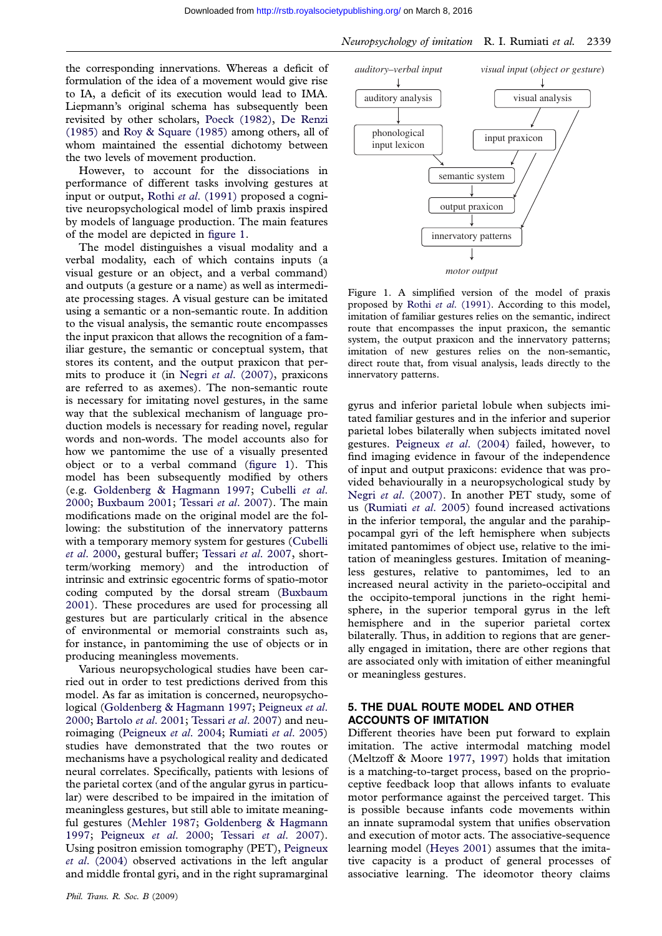the corresponding innervations. Whereas a deficit of formulation of the idea of a movement would give rise to IA, a deficit of its execution would lead to IMA. Liepmann's original schema has subsequently been revisited by other scholars, [Poeck \(1982\),](#page-10-0) [De Renzi](#page-9-0) [\(1985\)](#page-9-0) and [Roy & Square \(1985\)](#page-10-0) among others, all of whom maintained the essential dichotomy between the two levels of movement production.

However, to account for the dissociations in performance of different tasks involving gestures at input or output, Rothi et al[. \(1991\)](#page-10-0) proposed a cognitive neuropsychological model of limb praxis inspired by models of language production. The main features of the model are depicted in figure 1.

The model distinguishes a visual modality and a verbal modality, each of which contains inputs (a visual gesture or an object, and a verbal command) and outputs (a gesture or a name) as well as intermediate processing stages. A visual gesture can be imitated using a semantic or a non-semantic route. In addition to the visual analysis, the semantic route encompasses the input praxicon that allows the recognition of a familiar gesture, the semantic or conceptual system, that stores its content, and the output praxicon that permits to produce it (in Negri et al[. \(2007\)](#page-10-0), praxicons are referred to as axemes). The non-semantic route is necessary for imitating novel gestures, in the same way that the sublexical mechanism of language production models is necessary for reading novel, regular words and non-words. The model accounts also for how we pantomime the use of a visually presented object or to a verbal command (figure 1). This model has been subsequently modified by others (e.g. [Goldenberg & Hagmann 1997;](#page-9-0) [Cubelli](#page-8-0) et al. [2000](#page-8-0); [Buxbaum 2001](#page-8-0); [Tessari](#page-10-0) et al. 2007). The main modifications made on the original model are the following: the substitution of the innervatory patterns with a temporary memory system for gestures [\(Cubelli](#page-8-0) et al[. 2000,](#page-8-0) gestural buffer; [Tessari](#page-10-0) et al. 2007, shortterm/working memory) and the introduction of intrinsic and extrinsic egocentric forms of spatio-motor coding computed by the dorsal stream [\(Buxbaum](#page-8-0) [2001](#page-8-0)). These procedures are used for processing all gestures but are particularly critical in the absence of environmental or memorial constraints such as, for instance, in pantomiming the use of objects or in producing meaningless movements.

Various neuropsychological studies have been carried out in order to test predictions derived from this model. As far as imitation is concerned, neuropsychological ([Goldenberg & Hagmann 1997;](#page-9-0) [Peigneux](#page-10-0) et al. [2000](#page-10-0); [Bartolo](#page-8-0) *et al.* 2001; [Tessari](#page-10-0) *et al.* 2007) and neuroimaging [\(Peigneux](#page-10-0) et al. 2004; [Rumiati](#page-10-0) et al. 2005) studies have demonstrated that the two routes or mechanisms have a psychological reality and dedicated neural correlates. Specifically, patients with lesions of the parietal cortex (and of the angular gyrus in particular) were described to be impaired in the imitation of meaningless gestures, but still able to imitate meaningful gestures [\(Mehler 1987](#page-9-0); [Goldenberg & Hagmann](#page-9-0) [1997](#page-9-0); [Peigneux](#page-10-0) et al. 2000; Tessari et al[. 2007](#page-10-0)). Using positron emission tomography (PET), [Peigneux](#page-10-0) et al[. \(2004\)](#page-10-0) observed activations in the left angular and middle frontal gyri, and in the right supramarginal



Figure 1. A simplified version of the model of praxis proposed by Rothi et al[. \(1991\).](#page-10-0) According to this model, imitation of familiar gestures relies on the semantic, indirect route that encompasses the input praxicon, the semantic system, the output praxicon and the innervatory patterns; imitation of new gestures relies on the non-semantic, direct route that, from visual analysis, leads directly to the innervatory patterns.

gyrus and inferior parietal lobule when subjects imitated familiar gestures and in the inferior and superior parietal lobes bilaterally when subjects imitated novel gestures. [Peigneux](#page-10-0) et al. (2004) failed, however, to find imaging evidence in favour of the independence of input and output praxicons: evidence that was provided behaviourally in a neuropsychological study by Negri et al[. \(2007\)](#page-10-0). In another PET study, some of us [\(Rumiati](#page-10-0) et al. 2005) found increased activations in the inferior temporal, the angular and the parahippocampal gyri of the left hemisphere when subjects imitated pantomimes of object use, relative to the imitation of meaningless gestures. Imitation of meaningless gestures, relative to pantomimes, led to an increased neural activity in the parieto-occipital and the occipito-temporal junctions in the right hemisphere, in the superior temporal gyrus in the left hemisphere and in the superior parietal cortex bilaterally. Thus, in addition to regions that are generally engaged in imitation, there are other regions that are associated only with imitation of either meaningful or meaningless gestures.

## 5. THE DUAL ROUTE MODEL AND OTHER ACCOUNTS OF IMITATION

Different theories have been put forward to explain imitation. The active intermodal matching model (Meltzoff & Moore [1977,](#page-9-0) [1997\)](#page-9-0) holds that imitation is a matching-to-target process, based on the proprioceptive feedback loop that allows infants to evaluate motor performance against the perceived target. This is possible because infants code movements within an innate supramodal system that unifies observation and execution of motor acts. The associative-sequence learning model ([Heyes 2001\)](#page-9-0) assumes that the imitative capacity is a product of general processes of associative learning. The ideomotor theory claims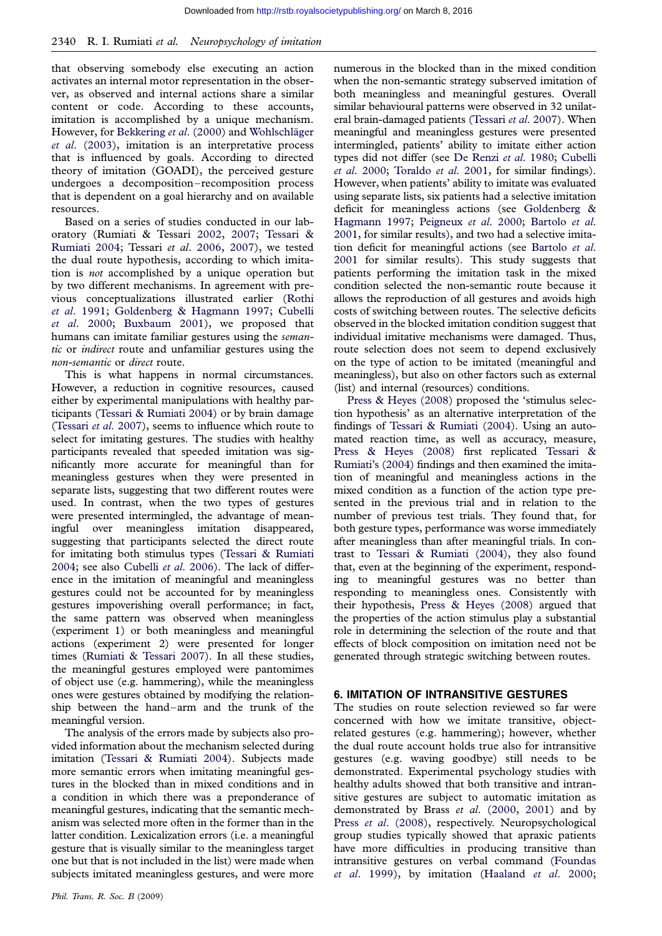that observing somebody else executing an action activates an internal motor representation in the observer, as observed and internal actions share a similar content or code. According to these accounts, imitation is accomplished by a unique mechanism. However, for [Bekkering](#page-9-0) et al. (2000) and Wohlschläger et al[. \(2003\)](#page-10-0), imitation is an interpretative process that is influenced by goals. According to directed theory of imitation (GOADI), the perceived gesture undergoes a decomposition – recomposition process that is dependent on a goal hierarchy and on available resources.

Based on a series of studies conducted in our laboratory (Rumiati & Tessari [2002](#page-10-0), [2007](#page-10-0); [Tessari &](#page-10-0) [Rumiati 2004](#page-10-0); Tessari et al. [2006](#page-10-0), [2007\)](#page-10-0), we tested the dual route hypothesis, according to which imitation is not accomplished by a unique operation but by two different mechanisms. In agreement with previous conceptualizations illustrated earlier [\(Rothi](#page-10-0) et al[. 1991](#page-10-0); [Goldenberg & Hagmann 1997](#page-9-0); [Cubelli](#page-8-0) et al[. 2000;](#page-8-0) [Buxbaum 2001\)](#page-8-0), we proposed that humans can imitate familiar gestures using the semantic or indirect route and unfamiliar gestures using the non-semantic or direct route.

This is what happens in normal circumstances. However, a reduction in cognitive resources, caused either by experimental manipulations with healthy participants [\(Tessari & Rumiati 2004\)](#page-10-0) or by brain damage [\(Tessari](#page-10-0) et al. 2007), seems to influence which route to select for imitating gestures. The studies with healthy participants revealed that speeded imitation was significantly more accurate for meaningful than for meaningless gestures when they were presented in separate lists, suggesting that two different routes were used. In contrast, when the two types of gestures were presented intermingled, the advantage of meaningful over meaningless imitation disappeared, suggesting that participants selected the direct route for imitating both stimulus types [\(Tessari & Rumiati](#page-10-0) [2004;](#page-10-0) see also [Cubelli](#page-8-0) et al. 2006). The lack of difference in the imitation of meaningful and meaningless gestures could not be accounted for by meaningless gestures impoverishing overall performance; in fact, the same pattern was observed when meaningless (experiment 1) or both meaningless and meaningful actions (experiment 2) were presented for longer times [\(Rumiati & Tessari 2007](#page-10-0)). In all these studies, the meaningful gestures employed were pantomimes of object use (e.g. hammering), while the meaningless ones were gestures obtained by modifying the relationship between the hand–arm and the trunk of the meaningful version.

The analysis of the errors made by subjects also provided information about the mechanism selected during imitation [\(Tessari & Rumiati 2004\)](#page-10-0). Subjects made more semantic errors when imitating meaningful gestures in the blocked than in mixed conditions and in a condition in which there was a preponderance of meaningful gestures, indicating that the semantic mechanism was selected more often in the former than in the latter condition. Lexicalization errors (i.e. a meaningful gesture that is visually similar to the meaningless target one but that is not included in the list) were made when subjects imitated meaningless gestures, and were more

numerous in the blocked than in the mixed condition when the non-semantic strategy subserved imitation of both meaningless and meaningful gestures. Overall similar behavioural patterns were observed in 32 unilateral brain-damaged patients [\(Tessari](#page-10-0) et al. 2007). When meaningful and meaningless gestures were presented intermingled, patients' ability to imitate either action types did not differ (see [De Renzi](#page-9-0) et al. 1980; [Cubelli](#page-8-0) et al[. 2000](#page-8-0); [Toraldo](#page-10-0) et al. 2001, for similar findings). However, when patients' ability to imitate was evaluated using separate lists, six patients had a selective imitation deficit for meaningless actions (see [Goldenberg &](#page-9-0) [Hagmann 1997;](#page-9-0) [Peigneux](#page-10-0) et al. 2000; [Bartolo](#page-8-0) et al. [2001,](#page-8-0) for similar results), and two had a selective imitation deficit for meaningful actions (see [Bartolo](#page-8-0) et al. [2001](#page-8-0) for similar results). This study suggests that patients performing the imitation task in the mixed condition selected the non-semantic route because it allows the reproduction of all gestures and avoids high costs of switching between routes. The selective deficits observed in the blocked imitation condition suggest that individual imitative mechanisms were damaged. Thus, route selection does not seem to depend exclusively on the type of action to be imitated (meaningful and meaningless), but also on other factors such as external (list) and internal (resources) conditions.

[Press & Heyes \(2008\)](#page-10-0) proposed the 'stimulus selection hypothesis' as an alternative interpretation of the findings of [Tessari & Rumiati \(2004\)](#page-10-0). Using an automated reaction time, as well as accuracy, measure, [Press & Heyes \(2008\)](#page-10-0) first replicated [Tessari &](#page-10-0) [Rumiati's \(2004\)](#page-10-0) findings and then examined the imitation of meaningful and meaningless actions in the mixed condition as a function of the action type presented in the previous trial and in relation to the number of previous test trials. They found that, for both gesture types, performance was worse immediately after meaningless than after meaningful trials. In contrast to [Tessari & Rumiati \(2004\),](#page-10-0) they also found that, even at the beginning of the experiment, responding to meaningful gestures was no better than responding to meaningless ones. Consistently with their hypothesis, [Press & Heyes \(2008\)](#page-10-0) argued that the properties of the action stimulus play a substantial role in determining the selection of the route and that effects of block composition on imitation need not be generated through strategic switching between routes.

# 6. IMITATION OF INTRANSITIVE GESTURES

The studies on route selection reviewed so far were concerned with how we imitate transitive, objectrelated gestures (e.g. hammering); however, whether the dual route account holds true also for intransitive gestures (e.g. waving goodbye) still needs to be demonstrated. Experimental psychology studies with healthy adults showed that both transitive and intransitive gestures are subject to automatic imitation as demonstrated by Brass et al. [\(2000](#page-8-0), [2001\)](#page-8-0) and by Press et al[. \(2008\)](#page-10-0), respectively. Neuropsychological group studies typically showed that apraxic patients have more difficulties in producing transitive than intransitive gestures on verbal command ([Foundas](#page-9-0) et al[. 1999\)](#page-9-0), by imitation ([Haaland](#page-9-0) et al. 2000;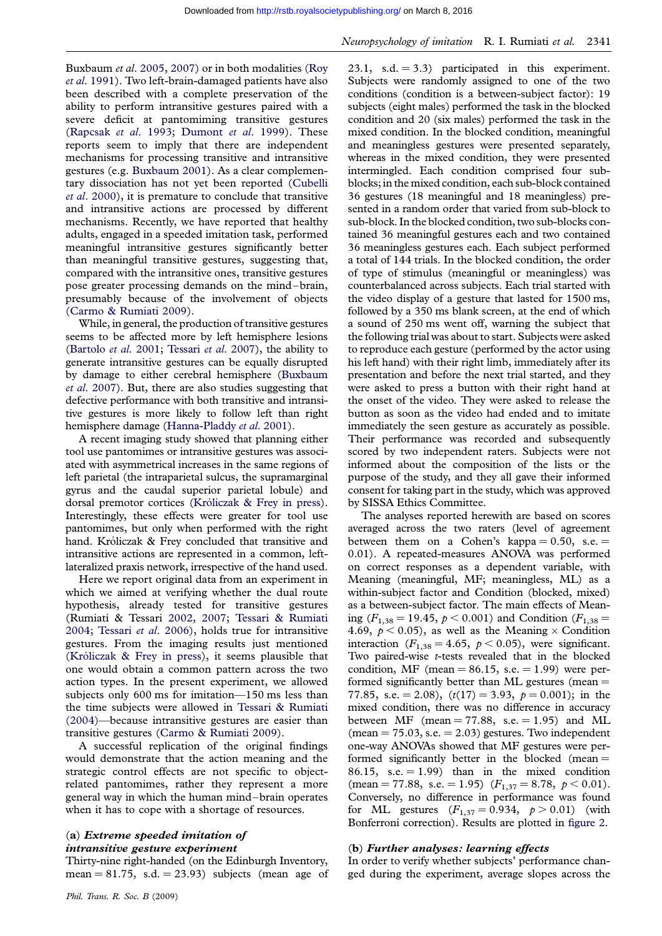Buxbaum et al. [2005](#page-8-0), [2007\)](#page-8-0) or in both modalities ([Roy](#page-10-0) et al[. 1991](#page-10-0)). Two left-brain-damaged patients have also been described with a complete preservation of the ability to perform intransitive gestures paired with a severe deficit at pantomiming transitive gestures ([Rapcsak](#page-10-0) et al. 1993; [Dumont](#page-9-0) et al. 1999). These reports seem to imply that there are independent mechanisms for processing transitive and intransitive gestures (e.g. [Buxbaum 2001](#page-8-0)). As a clear complementary dissociation has not yet been reported ([Cubelli](#page-8-0) et al[. 2000\)](#page-8-0), it is premature to conclude that transitive and intransitive actions are processed by different mechanisms. Recently, we have reported that healthy adults, engaged in a speeded imitation task, performed meaningful intransitive gestures significantly better than meaningful transitive gestures, suggesting that, compared with the intransitive ones, transitive gestures pose greater processing demands on the mind –brain, presumably because of the involvement of objects ([Carmo & Rumiati 2009](#page-8-0)).

While, in general, the production of transitive gestures seems to be affected more by left hemisphere lesions ([Bartolo](#page-8-0) et al. 2001; [Tessari](#page-10-0) et al. 2007), the ability to generate intransitive gestures can be equally disrupted by damage to either cerebral hemisphere [\(Buxbaum](#page-8-0) et al[. 2007\)](#page-8-0). But, there are also studies suggesting that defective performance with both transitive and intransitive gestures is more likely to follow left than right hemisphere damage [\(Hanna-Pladdy](#page-9-0) et al. 2001).

A recent imaging study showed that planning either tool use pantomimes or intransitive gestures was associated with asymmetrical increases in the same regions of left parietal (the intraparietal sulcus, the supramarginal gyrus and the caudal superior parietal lobule) and dorsal premotor cortices (Króliczak & Frey in press). Interestingly, these effects were greater for tool use pantomimes, but only when performed with the right hand. Króliczak & Frey concluded that transitive and intransitive actions are represented in a common, leftlateralized praxis network, irrespective of the hand used.

Here we report original data from an experiment in which we aimed at verifying whether the dual route hypothesis, already tested for transitive gestures (Rumiati & Tessari [2002](#page-10-0), [2007;](#page-10-0) [Tessari & Rumiati](#page-10-0) [2004](#page-10-0); [Tessari](#page-10-0) et al. 2006), holds true for intransitive gestures. From the imaging results just mentioned (Króliczak  $\&$  Frey in press), it seems plausible that one would obtain a common pattern across the two action types. In the present experiment, we allowed subjects only 600 ms for imitation—150 ms less than the time subjects were allowed in [Tessari & Rumiati](#page-10-0) [\(2004\)—](#page-10-0)because intransitive gestures are easier than transitive gestures ([Carmo & Rumiati 2009](#page-8-0)).

A successful replication of the original findings would demonstrate that the action meaning and the strategic control effects are not specific to objectrelated pantomimes, rather they represent a more general way in which the human mind –brain operates when it has to cope with a shortage of resources.

#### (a) Extreme speeded imitation of intransitive gesture experiment

Thirty-nine right-handed (on the Edinburgh Inventory, mean  $= 81.75$ , s.d.  $= 23.93$ ) subjects (mean age of

Phil. Trans. R. Soc. B (2009)

23.1, s.d.  $= 3.3$ ) participated in this experiment. Subjects were randomly assigned to one of the two conditions (condition is a between-subject factor): 19 subjects (eight males) performed the task in the blocked condition and 20 (six males) performed the task in the mixed condition. In the blocked condition, meaningful and meaningless gestures were presented separately, whereas in the mixed condition, they were presented intermingled. Each condition comprised four subblocks; in the mixed condition, each sub-block contained 36 gestures (18 meaningful and 18 meaningless) presented in a random order that varied from sub-block to sub-block. In the blocked condition, two sub-blocks contained 36 meaningful gestures each and two contained 36 meaningless gestures each. Each subject performed a total of 144 trials. In the blocked condition, the order of type of stimulus (meaningful or meaningless) was counterbalanced across subjects. Each trial started with the video display of a gesture that lasted for 1500 ms, followed by a 350 ms blank screen, at the end of which a sound of 250 ms went off, warning the subject that the following trial was about to start. Subjects were asked to reproduce each gesture (performed by the actor using his left hand) with their right limb, immediately after its presentation and before the next trial started, and they were asked to press a button with their right hand at the onset of the video. They were asked to release the button as soon as the video had ended and to imitate immediately the seen gesture as accurately as possible. Their performance was recorded and subsequently scored by two independent raters. Subjects were not informed about the composition of the lists or the purpose of the study, and they all gave their informed consent for taking part in the study, which was approved by SISSA Ethics Committee.

The analyses reported herewith are based on scores averaged across the two raters (level of agreement between them on a Cohen's kappa =  $0.50$ , s.e. = 0.01). A repeated-measures ANOVA was performed on correct responses as a dependent variable, with Meaning (meaningful, MF; meaningless, ML) as a within-subject factor and Condition (blocked, mixed) as a between-subject factor. The main effects of Meaning ( $F_{1,38} = 19.45$ ,  $p < 0.001$ ) and Condition ( $F_{1,38} =$ 4.69,  $p < 0.05$ ), as well as the Meaning  $\times$  Condition interaction  $(F_{1,38} = 4.65, p < 0.05)$ , were significant. Two paired-wise *t*-tests revealed that in the blocked condition, MF (mean  $= 86.15$ , s.e.  $= 1.99$ ) were performed significantly better than ML gestures (mean  $=$ 77.85, s.e. = 2.08),  $(t(17) = 3.93, p = 0.001)$ ; in the mixed condition, there was no difference in accuracy between MF (mean = 77.88, s.e.  $= 1.95$ ) and ML  $(mean = 75.03, s.e. = 2.03)$  gestures. Two independent one-way ANOVAs showed that MF gestures were performed significantly better in the blocked (mean  $=$ 86.15, s.e.  $= 1.99$ ) than in the mixed condition (mean = 77.88, s.e. = 1.95)  $(F_{1,37} = 8.78, p < 0.01)$ . Conversely, no difference in performance was found for ML gestures  $(F_{1,37} = 0.934, p > 0.01)$  (with Bonferroni correction). Results are plotted in [figure 2](#page-5-0).

### (b) Further analyses: learning effects

In order to verify whether subjects' performance changed during the experiment, average slopes across the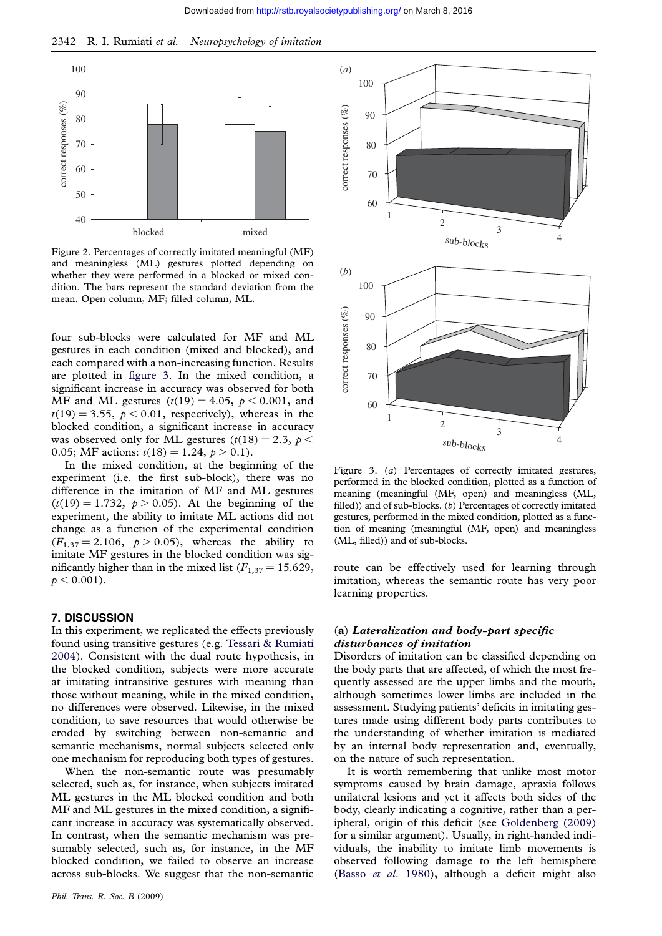<span id="page-5-0"></span>



Figure 2. Percentages of correctly imitated meaningful (MF) and meaningless (ML) gestures plotted depending on whether they were performed in a blocked or mixed condition. The bars represent the standard deviation from the mean. Open column, MF; filled column, ML.

four sub-blocks were calculated for MF and ML gestures in each condition (mixed and blocked), and each compared with a non-increasing function. Results are plotted in figure 3. In the mixed condition, a significant increase in accuracy was observed for both MF and ML gestures  $(t(19) = 4.05, p < 0.001,$  and  $t(19) = 3.55$ ,  $p < 0.01$ , respectively), whereas in the blocked condition, a significant increase in accuracy was observed only for ML gestures  $(t(18) = 2.3, p <$ 0.05; MF actions:  $t(18) = 1.24$ ,  $p > 0.1$ ).

In the mixed condition, at the beginning of the experiment (i.e. the first sub-block), there was no difference in the imitation of MF and ML gestures  $(t(19) = 1.732, p > 0.05)$ . At the beginning of the experiment, the ability to imitate ML actions did not change as a function of the experimental condition  $(F_{1,37} = 2.106, p > 0.05)$ , whereas the ability to imitate MF gestures in the blocked condition was significantly higher than in the mixed list  $(F_{1,37} = 15.629,$  $p < 0.001$ ).

#### 7. DISCUSSION

In this experiment, we replicated the effects previously found using transitive gestures (e.g. [Tessari & Rumiati](#page-10-0) [2004](#page-10-0)). Consistent with the dual route hypothesis, in the blocked condition, subjects were more accurate at imitating intransitive gestures with meaning than those without meaning, while in the mixed condition, no differences were observed. Likewise, in the mixed condition, to save resources that would otherwise be eroded by switching between non-semantic and semantic mechanisms, normal subjects selected only one mechanism for reproducing both types of gestures.

When the non-semantic route was presumably selected, such as, for instance, when subjects imitated ML gestures in the ML blocked condition and both MF and ML gestures in the mixed condition, a significant increase in accuracy was systematically observed. In contrast, when the semantic mechanism was presumably selected, such as, for instance, in the MF blocked condition, we failed to observe an increase across sub-blocks. We suggest that the non-semantic



Figure 3. (a) Percentages of correctly imitated gestures, performed in the blocked condition, plotted as a function of meaning (meaningful (MF, open) and meaningless (ML, filled)) and of sub-blocks. (b) Percentages of correctly imitated gestures, performed in the mixed condition, plotted as a function of meaning (meaningful (MF, open) and meaningless (ML, filled)) and of sub-blocks.

route can be effectively used for learning through imitation, whereas the semantic route has very poor learning properties.

## (a) Lateralization and body-part specific disturbances of imitation

Disorders of imitation can be classified depending on the body parts that are affected, of which the most frequently assessed are the upper limbs and the mouth, although sometimes lower limbs are included in the assessment. Studying patients' deficits in imitating gestures made using different body parts contributes to the understanding of whether imitation is mediated by an internal body representation and, eventually, on the nature of such representation.

It is worth remembering that unlike most motor symptoms caused by brain damage, apraxia follows unilateral lesions and yet it affects both sides of the body, clearly indicating a cognitive, rather than a peripheral, origin of this deficit (see [Goldenberg \(2009\)](#page-9-0) for a similar argument). Usually, in right-handed individuals, the inability to imitate limb movements is observed following damage to the left hemisphere (Basso et al[. 1980\)](#page-8-0), although a deficit might also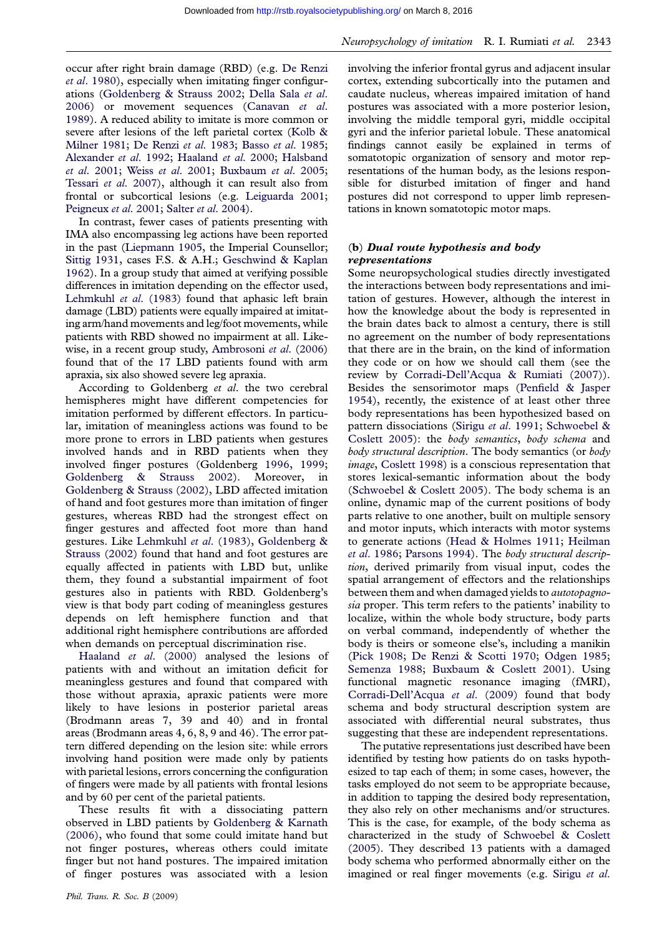occur after right brain damage (RBD) (e.g. [De Renzi](#page-9-0) et al[. 1980\)](#page-9-0), especially when imitating finger configurations ([Goldenberg & Strauss 2002](#page-9-0); [Della Sala](#page-8-0) et al. [2006](#page-8-0)) or movement sequences [\(Canavan](#page-8-0) et al. [1989\)](#page-8-0). A reduced ability to imitate is more common or severe after lesions of the left parietal cortex [\(Kolb &](#page-9-0) [Milner 1981;](#page-9-0) [De Renzi](#page-9-0) et al. 1983; Basso et al[. 1985](#page-8-0); [Alexander](#page-8-0) et al. 1992; [Haaland](#page-9-0) et al. 2000; [Halsband](#page-9-0) et al[. 2001;](#page-9-0) Weiss et al[. 2001](#page-10-0); [Buxbaum](#page-8-0) et al. 2005; [Tessari](#page-10-0) et al. 2007), although it can result also from frontal or subcortical lesions (e.g. [Leiguarda 2001](#page-9-0); [Peigneux](#page-10-0) et al. 2001; Salter et al[. 2004\)](#page-10-0).

In contrast, fewer cases of patients presenting with IMA also encompassing leg actions have been reported in the past ([Liepmann 1905,](#page-9-0) the Imperial Counsellor; [Sittig 1931](#page-10-0), cases F.S. & A.H.; [Geschwind & Kaplan](#page-9-0) [1962\)](#page-9-0). In a group study that aimed at verifying possible differences in imitation depending on the effector used, [Lehmkuhl](#page-9-0) et al. (1983) found that aphasic left brain damage (LBD) patients were equally impaired at imitating arm/hand movements and leg/foot movements, while patients with RBD showed no impairment at all. Like-wise, in a recent group study, [Ambrosoni](#page-8-0) et al. (2006) found that of the 17 LBD patients found with arm apraxia, six also showed severe leg apraxia.

According to Goldenberg et al. the two cerebral hemispheres might have different competencies for imitation performed by different effectors. In particular, imitation of meaningless actions was found to be more prone to errors in LBD patients when gestures involved hands and in RBD patients when they involved finger postures (Goldenberg [1996](#page-9-0), [1999](#page-9-0); [Goldenberg & Strauss 2002\)](#page-9-0). Moreover, in [Goldenberg & Strauss \(2002\),](#page-9-0) LBD affected imitation of hand and foot gestures more than imitation of finger gestures, whereas RBD had the strongest effect on finger gestures and affected foot more than hand gestures. Like [Lehmkuhl](#page-9-0) et al. (1983), [Goldenberg](#page-9-0) & [Strauss \(2002\)](#page-9-0) found that hand and foot gestures are equally affected in patients with LBD but, unlike them, they found a substantial impairment of foot gestures also in patients with RBD. Goldenberg's view is that body part coding of meaningless gestures depends on left hemisphere function and that additional right hemisphere contributions are afforded when demands on perceptual discrimination rise.

Haaland et al[. \(2000\)](#page-9-0) analysed the lesions of patients with and without an imitation deficit for meaningless gestures and found that compared with those without apraxia, apraxic patients were more likely to have lesions in posterior parietal areas (Brodmann areas 7, 39 and 40) and in frontal areas (Brodmann areas 4, 6, 8, 9 and 46). The error pattern differed depending on the lesion site: while errors involving hand position were made only by patients with parietal lesions, errors concerning the configuration of fingers were made by all patients with frontal lesions and by 60 per cent of the parietal patients.

These results fit with a dissociating pattern observed in LBD patients by [Goldenberg & Karnath](#page-9-0) [\(2006\),](#page-9-0) who found that some could imitate hand but not finger postures, whereas others could imitate finger but not hand postures. The impaired imitation of finger postures was associated with a lesion Neuropsychology of imitation R. I. Rumiati et al. 2343

involving the inferior frontal gyrus and adjacent insular cortex, extending subcortically into the putamen and caudate nucleus, whereas impaired imitation of hand postures was associated with a more posterior lesion, involving the middle temporal gyri, middle occipital gyri and the inferior parietal lobule. These anatomical findings cannot easily be explained in terms of somatotopic organization of sensory and motor representations of the human body, as the lesions responsible for disturbed imitation of finger and hand postures did not correspond to upper limb representations in known somatotopic motor maps.

#### (b) Dual route hypothesis and body representations

Some neuropsychological studies directly investigated the interactions between body representations and imitation of gestures. However, although the interest in how the knowledge about the body is represented in the brain dates back to almost a century, there is still no agreement on the number of body representations that there are in the brain, on the kind of information they code or on how we should call them (see the review by [Corradi-Dell'Acqua & Rumiati \(2007\)](#page-8-0)). Besides the sensorimotor maps ([Penfield & Jasper](#page-10-0) [1954](#page-10-0)), recently, the existence of at least other three body representations has been hypothesized based on pattern dissociations (Sirigu et al[. 1991](#page-10-0); [Schwoebel &](#page-10-0) [Coslett 2005\)](#page-10-0): the body semantics, body schema and body structural description. The body semantics (or body image, [Coslett 1998\)](#page-8-0) is a conscious representation that stores lexical-semantic information about the body ([Schwoebel & Coslett 2005](#page-10-0)). The body schema is an online, dynamic map of the current positions of body parts relative to one another, built on multiple sensory and motor inputs, which interacts with motor systems to generate actions ([Head & Holmes 1911](#page-9-0); [Heilman](#page-9-0) et al[. 1986;](#page-9-0) [Parsons 1994\)](#page-10-0). The body structural description, derived primarily from visual input, codes the spatial arrangement of effectors and the relationships between them and when damaged yields to autotopagnosia proper. This term refers to the patients' inability to localize, within the whole body structure, body parts on verbal command, independently of whether the body is theirs or someone else's, including a manikin ([Pick 1908;](#page-10-0) [De Renzi & Scotti 1970](#page-9-0); [Odgen 1985](#page-10-0); [Semenza 1988](#page-10-0); [Buxbaum & Coslett 2001](#page-8-0)). Using functional magnetic resonance imaging (fMRI), [Corradi-Dell'Acqua](#page-8-0) et al. (2009) found that body schema and body structural description system are associated with differential neural substrates, thus suggesting that these are independent representations.

The putative representations just described have been identified by testing how patients do on tasks hypothesized to tap each of them; in some cases, however, the tasks employed do not seem to be appropriate because, in addition to tapping the desired body representation, they also rely on other mechanisms and/or structures. This is the case, for example, of the body schema as characterized in the study of [Schwoebel & Coslett](#page-10-0) [\(2005\)](#page-10-0). They described 13 patients with a damaged body schema who performed abnormally either on the imagined or real finger movements (e.g. [Sirigu](#page-10-0) et al.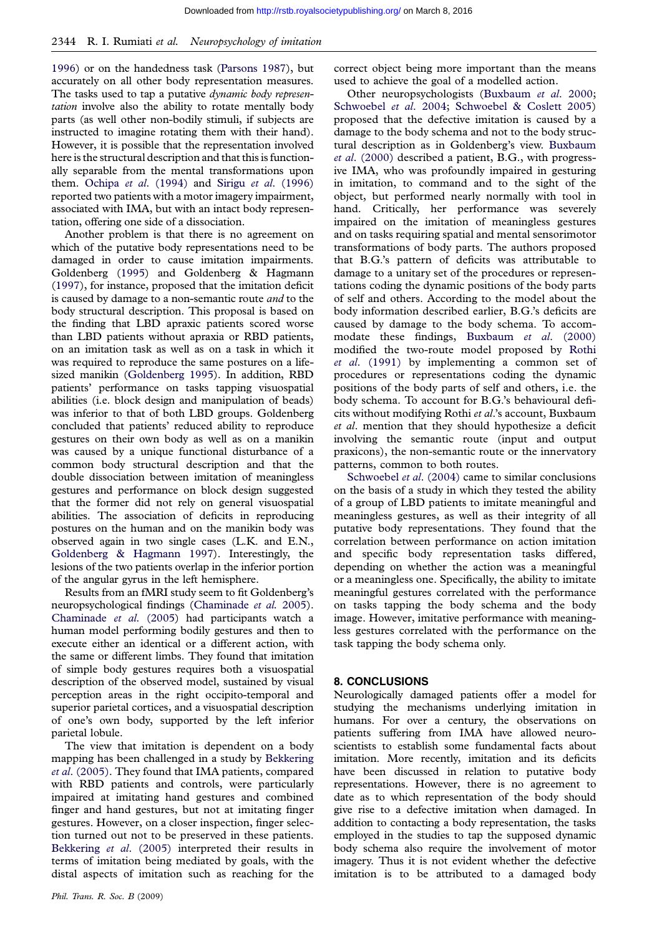[1996\)](#page-10-0) or on the handedness task ([Parsons 1987](#page-10-0)), but accurately on all other body representation measures. The tasks used to tap a putative *dynamic body represen*tation involve also the ability to rotate mentally body parts (as well other non-bodily stimuli, if subjects are instructed to imagine rotating them with their hand). However, it is possible that the representation involved here is the structural description and that this is functionally separable from the mental transformations upon them. Ochipa et al[. \(1994\)](#page-10-0) and Sirigu et al[. \(1996\)](#page-10-0) reported two patients with a motor imagery impairment, associated with IMA, but with an intact body representation, offering one side of a dissociation.

Another problem is that there is no agreement on which of the putative body representations need to be damaged in order to cause imitation impairments. Goldenberg ([1995](#page-9-0)) and Goldenberg & Hagmann [\(1997\)](#page-9-0), for instance, proposed that the imitation deficit is caused by damage to a non-semantic route and to the body structural description. This proposal is based on the finding that LBD apraxic patients scored worse than LBD patients without apraxia or RBD patients, on an imitation task as well as on a task in which it was required to reproduce the same postures on a lifesized manikin [\(Goldenberg 1995](#page-9-0)). In addition, RBD patients' performance on tasks tapping visuospatial abilities (i.e. block design and manipulation of beads) was inferior to that of both LBD groups. Goldenberg concluded that patients' reduced ability to reproduce gestures on their own body as well as on a manikin was caused by a unique functional disturbance of a common body structural description and that the double dissociation between imitation of meaningless gestures and performance on block design suggested that the former did not rely on general visuospatial abilities. The association of deficits in reproducing postures on the human and on the manikin body was observed again in two single cases (L.K. and E.N., [Goldenberg & Hagmann 1997\)](#page-9-0). Interestingly, the lesions of the two patients overlap in the inferior portion of the angular gyrus in the left hemisphere.

Results from an fMRI study seem to fit Goldenberg's neuropsychological findings [\(Chaminade](#page-8-0) et al. 2005). [Chaminade](#page-8-0) et al. (2005) had participants watch a human model performing bodily gestures and then to execute either an identical or a different action, with the same or different limbs. They found that imitation of simple body gestures requires both a visuospatial description of the observed model, sustained by visual perception areas in the right occipito-temporal and superior parietal cortices, and a visuospatial description of one's own body, supported by the left inferior parietal lobule.

The view that imitation is dependent on a body mapping has been challenged in a study by [Bekkering](#page-8-0) et al[. \(2005\)](#page-8-0). They found that IMA patients, compared with RBD patients and controls, were particularly impaired at imitating hand gestures and combined finger and hand gestures, but not at imitating finger gestures. However, on a closer inspection, finger selection turned out not to be preserved in these patients. [Bekkering](#page-8-0) et al. (2005) interpreted their results in terms of imitation being mediated by goals, with the distal aspects of imitation such as reaching for the

correct object being more important than the means used to achieve the goal of a modelled action.

Other neuropsychologists [\(Buxbaum](#page-8-0) et al. 2000; [Schwoebel](#page-10-0) et al. 2004; [Schwoebel & Coslett 2005](#page-10-0)) proposed that the defective imitation is caused by a damage to the body schema and not to the body structural description as in Goldenberg's view. [Buxbaum](#page-8-0) et al[. \(2000\)](#page-8-0) described a patient, B.G., with progressive IMA, who was profoundly impaired in gesturing in imitation, to command and to the sight of the object, but performed nearly normally with tool in hand. Critically, her performance was severely impaired on the imitation of meaningless gestures and on tasks requiring spatial and mental sensorimotor transformations of body parts. The authors proposed that B.G.'s pattern of deficits was attributable to damage to a unitary set of the procedures or representations coding the dynamic positions of the body parts of self and others. According to the model about the body information described earlier, B.G.'s deficits are caused by damage to the body schema. To accommodate these findings, [Buxbaum](#page-8-0) et al. (2000) modified the two-route model proposed by [Rothi](#page-10-0) et al[. \(1991\)](#page-10-0) by implementing a common set of procedures or representations coding the dynamic positions of the body parts of self and others, i.e. the body schema. To account for B.G.'s behavioural deficits without modifying Rothi et al.'s account, Buxbaum et al. mention that they should hypothesize a deficit involving the semantic route (input and output praxicons), the non-semantic route or the innervatory patterns, common to both routes.

[Schwoebel](#page-10-0) *et al.* (2004) came to similar conclusions on the basis of a study in which they tested the ability of a group of LBD patients to imitate meaningful and meaningless gestures, as well as their integrity of all putative body representations. They found that the correlation between performance on action imitation and specific body representation tasks differed, depending on whether the action was a meaningful or a meaningless one. Specifically, the ability to imitate meaningful gestures correlated with the performance on tasks tapping the body schema and the body image. However, imitative performance with meaningless gestures correlated with the performance on the task tapping the body schema only.

#### 8. CONCLUSIONS

Neurologically damaged patients offer a model for studying the mechanisms underlying imitation in humans. For over a century, the observations on patients suffering from IMA have allowed neuroscientists to establish some fundamental facts about imitation. More recently, imitation and its deficits have been discussed in relation to putative body representations. However, there is no agreement to date as to which representation of the body should give rise to a defective imitation when damaged. In addition to contacting a body representation, the tasks employed in the studies to tap the supposed dynamic body schema also require the involvement of motor imagery. Thus it is not evident whether the defective imitation is to be attributed to a damaged body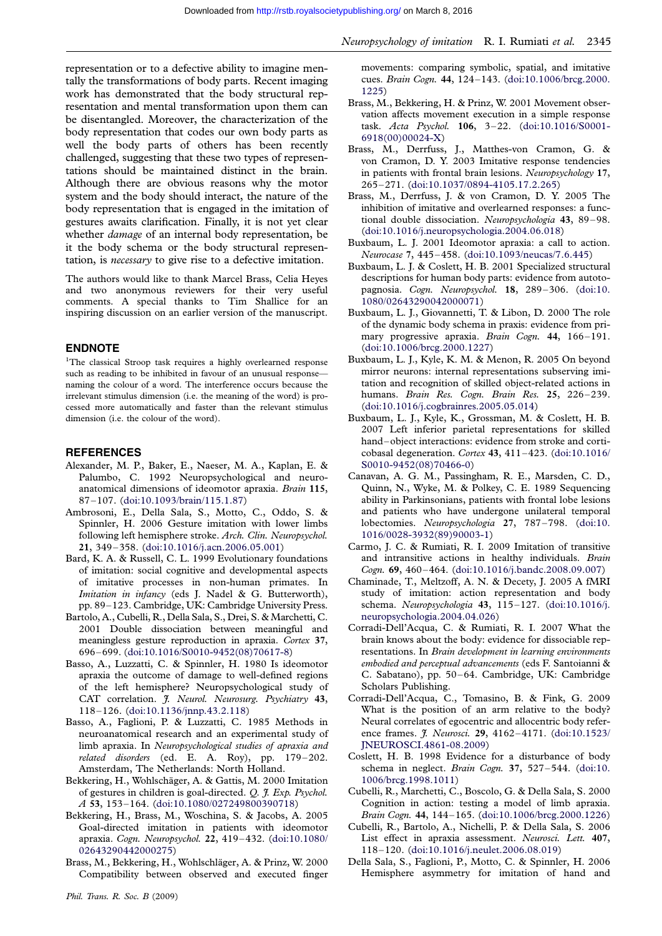Neuropsychology of imitation R. I. Rumiati et al. 2345

<span id="page-8-0"></span>representation or to a defective ability to imagine mentally the transformations of body parts. Recent imaging work has demonstrated that the body structural representation and mental transformation upon them can be disentangled. Moreover, the characterization of the body representation that codes our own body parts as well the body parts of others has been recently challenged, suggesting that these two types of representations should be maintained distinct in the brain. Although there are obvious reasons why the motor system and the body should interact, the nature of the body representation that is engaged in the imitation of gestures awaits clarification. Finally, it is not yet clear whether *damage* of an internal body representation, be it the body schema or the body structural representation, is necessary to give rise to a defective imitation.

The authors would like to thank Marcel Brass, Celia Heyes and two anonymous reviewers for their very useful comments. A special thanks to Tim Shallice for an inspiring discussion on an earlier version of the manuscript.

#### ENDNOTE

<sup>1</sup>The classical Stroop task requires a highly overlearned response such as reading to be inhibited in favour of an unusual response naming the colour of a word. The interference occurs because the irrelevant stimulus dimension (i.e. the meaning of the word) is processed more automatically and faster than the relevant stimulus dimension (i.e. the colour of the word).

#### **REFERENCES**

- Alexander, M. P., Baker, E., Naeser, M. A., Kaplan, E. & Palumbo, C. 1992 Neuropsychological and neuroanatomical dimensions of ideomotor apraxia. Brain 115, 87–107. [\(doi:10.1093/brain/115.1.87](http://dx.doi.org/doi:10.1093/brain/115.1.87))
- Ambrosoni, E., Della Sala, S., Motto, C., Oddo, S. & Spinnler, H. 2006 Gesture imitation with lower limbs following left hemisphere stroke. Arch. Clin. Neuropsychol. 21, 349–358. [\(doi:10.1016/j.acn.2006.05.001](http://dx.doi.org/doi:10.1016/j.acn.2006.05.001))
- Bard, K. A. & Russell, C. L. 1999 Evolutionary foundations of imitation: social cognitive and developmental aspects of imitative processes in non-human primates. In Imitation in infancy (eds J. Nadel & G. Butterworth), pp. 89–123. Cambridge, UK: Cambridge University Press.
- Bartolo, A., Cubelli, R., Della Sala, S., Drei, S. & Marchetti, C. 2001 Double dissociation between meaningful and meaningless gesture reproduction in apraxia. Cortex 37, 696–699. ([doi:10.1016/S0010-9452\(08\)70617-8](http://dx.doi.org/doi:10.1016/S0010-9452(08)70617-8))
- Basso, A., Luzzatti, C. & Spinnler, H. 1980 Is ideomotor apraxia the outcome of damage to well-defined regions of the left hemisphere? Neuropsychological study of CAT correlation. J. Neurol. Neurosurg. Psychiatry 43, 118 –126. [\(doi:10.1136/jnnp.43.2.118](http://dx.doi.org/doi:10.1136/jnnp.43.2.118))
- Basso, A., Faglioni, P. & Luzzatti, C. 1985 Methods in neuroanatomical research and an experimental study of limb apraxia. In Neuropsychological studies of apraxia and related disorders (ed. E. A. Roy), pp. 179–202. Amsterdam, The Netherlands: North Holland.
- Bekkering, H., Wohlschäger, A. & Gattis, M. 2000 Imitation of gestures in children is goal-directed. Q. *J. Exp. Psychol.* A 53, 153-164. ([doi:10.1080/027249800390718](http://dx.doi.org/doi:10.1080/027249800390718))
- Bekkering, H., Brass, M., Woschina, S. & Jacobs, A. 2005 Goal-directed imitation in patients with ideomotor apraxia. Cogn. Neuropsychol. 22, 419–432. ([doi:10.1080/](http://dx.doi.org/doi:10.1080/02643290442000275) [02643290442000275](http://dx.doi.org/doi:10.1080/02643290442000275))
- Brass, M., Bekkering, H., Wohlschläger, A. & Prinz, W. 2000 Compatibility between observed and executed finger

movements: comparing symbolic, spatial, and imitative cues. Brain Cogn. 44, 124–143. ([doi:10.1006/brcg.2000.](http://dx.doi.org/doi:10.1006/brcg.2000.1225) [1225\)](http://dx.doi.org/doi:10.1006/brcg.2000.1225)

- Brass, M., Bekkering, H. & Prinz, W. 2001 Movement observation affects movement execution in a simple response task. Acta Psychol. 106, 3–22. [\(doi:10.1016/S0001-](http://dx.doi.org/doi:10.1016/S0001-6918(00)00024-X) [6918\(00\)00024-X\)](http://dx.doi.org/doi:10.1016/S0001-6918(00)00024-X)
- Brass, M., Derrfuss, J., Matthes-von Cramon, G. & von Cramon, D. Y. 2003 Imitative response tendencies in patients with frontal brain lesions. Neuropsychology 17, 265–271. [\(doi:10.1037/0894-4105.17.2.265\)](http://dx.doi.org/doi:10.1037/0894-4105.17.2.265)
- Brass, M., Derrfuss, J. & von Cramon, D. Y. 2005 The inhibition of imitative and overlearned responses: a functional double dissociation. Neuropsychologia 43, 89–98. [\(doi:10.1016/j.neuropsychologia.2004.06.018](http://dx.doi.org/doi:10.1016/j.neuropsychologia.2004.06.018))
- Buxbaum, L. J. 2001 Ideomotor apraxia: a call to action. Neurocase 7, 445 –458. ([doi:10.1093/neucas/7.6.445\)](http://dx.doi.org/doi:10.1093/neucas/7.6.445)
- Buxbaum, L. J. & Coslett, H. B. 2001 Specialized structural descriptions for human body parts: evidence from autoto-pagnosia. Cogn. Neuropsychol. 18, 289-306. [\(doi:10.](http://dx.doi.org/doi:10.1080/02643290042000071) [1080/02643290042000071\)](http://dx.doi.org/doi:10.1080/02643290042000071)
- Buxbaum, L. J., Giovannetti, T. & Libon, D. 2000 The role of the dynamic body schema in praxis: evidence from primary progressive apraxia. Brain Cogn. 44, 166-191. [\(doi:10.1006/brcg.2000.1227\)](http://dx.doi.org/doi:10.1006/brcg.2000.1227)
- Buxbaum, L. J., Kyle, K. M. & Menon, R. 2005 On beyond mirror neurons: internal representations subserving imitation and recognition of skilled object-related actions in humans. Brain Res. Cogn. Brain Res. 25, 226-239. [\(doi:10.1016/j.cogbrainres.2005.05.014\)](http://dx.doi.org/doi:10.1016/j.cogbrainres.2005.05.014)
- Buxbaum, L. J., Kyle, K., Grossman, M. & Coslett, H. B. 2007 Left inferior parietal representations for skilled hand–object interactions: evidence from stroke and corticobasal degeneration. Cortex 43, 411 –423. ([doi:10.1016/](http://dx.doi.org/doi:10.1016/S0010-9452(08)70466-0) [S0010-9452\(08\)70466-0](http://dx.doi.org/doi:10.1016/S0010-9452(08)70466-0))
- Canavan, A. G. M., Passingham, R. E., Marsden, C. D., Quinn, N., Wyke, M. & Polkey, C. E. 1989 Sequencing ability in Parkinsonians, patients with frontal lobe lesions and patients who have undergone unilateral temporal lobectomies. Neuropsychologia 27, 787-798. [\(doi:10.](http://dx.doi.org/doi:10.1016/0028-3932(89)90003-1) [1016/0028-3932\(89\)90003-1](http://dx.doi.org/doi:10.1016/0028-3932(89)90003-1))
- Carmo, J. C. & Rumiati, R. I. 2009 Imitation of transitive and intransitive actions in healthy individuals. Brain Cogn. 69, 460-464. ([doi:10.1016/j.bandc.2008.09.007](http://dx.doi.org/doi:10.1016/j.bandc.2008.09.007))
- Chaminade, T., Meltzoff, A. N. & Decety, J. 2005 A fMRI study of imitation: action representation and body schema. Neuropsychologia 43, 115-127. [\(doi:10.1016/j.](http://dx.doi.org/doi:10.1016/j.neuropsychologia.2004.04.026) [neuropsychologia.2004.04.026\)](http://dx.doi.org/doi:10.1016/j.neuropsychologia.2004.04.026)
- Corradi-Dell'Acqua, C. & Rumiati, R. I. 2007 What the brain knows about the body: evidence for dissociable representations. In Brain development in learning environments embodied and perceptual advancements (eds F. Santoianni & C. Sabatano), pp. 50–64. Cambridge, UK: Cambridge Scholars Publishing.
- Corradi-Dell'Acqua, C., Tomasino, B. & Fink, G. 2009 What is the position of an arm relative to the body? Neural correlates of egocentric and allocentric body reference frames. *J. Neurosci*. 29, 4162-4171. ([doi:10.1523/](http://dx.doi.org/doi:10.1523/JNEUROSCI.4861-08.2009) [JNEUROSCI.4861-08.2009\)](http://dx.doi.org/doi:10.1523/JNEUROSCI.4861-08.2009)
- Coslett, H. B. 1998 Evidence for a disturbance of body schema in neglect. Brain Cogn. 37, 527-544. [\(doi:10.](http://dx.doi.org/doi:10.1006/brcg.1998.1011) [1006/brcg.1998.1011](http://dx.doi.org/doi:10.1006/brcg.1998.1011))
- Cubelli, R., Marchetti, C., Boscolo, G. & Della Sala, S. 2000 Cognition in action: testing a model of limb apraxia. Brain Cogn. 44, 144–165. ([doi:10.1006/brcg.2000.1226\)](http://dx.doi.org/doi:10.1006/brcg.2000.1226)
- Cubelli, R., Bartolo, A., Nichelli, P. & Della Sala, S. 2006 List effect in apraxia assessment. Neurosci. Lett. 407, 118–120. [\(doi:10.1016/j.neulet.2006.08.019\)](http://dx.doi.org/doi:10.1016/j.neulet.2006.08.019)
- Della Sala, S., Faglioni, P., Motto, C. & Spinnler, H. 2006 Hemisphere asymmetry for imitation of hand and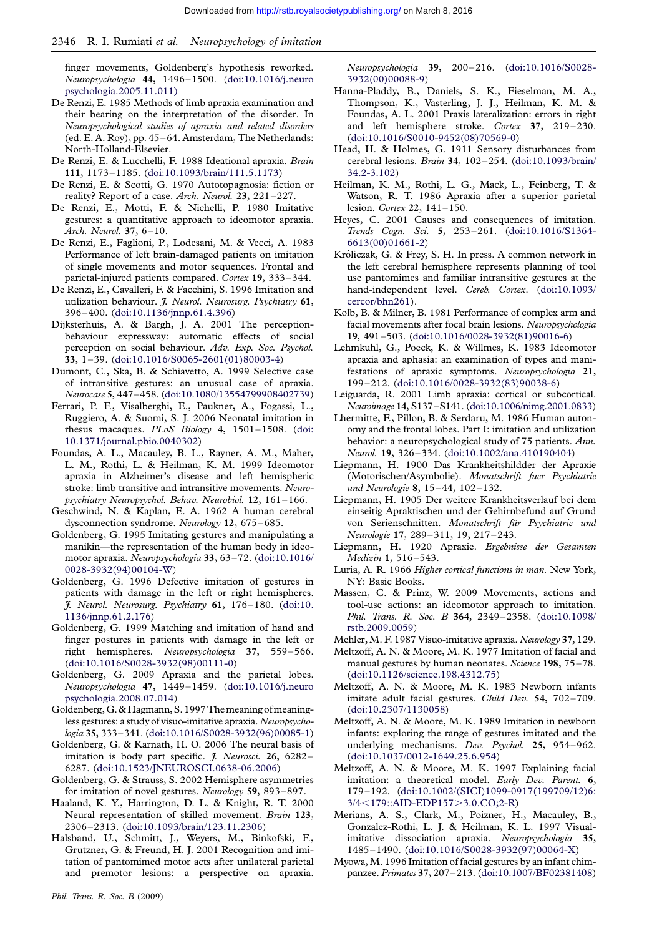<span id="page-9-0"></span>finger movements, Goldenberg's hypothesis reworked. Neuropsychologia 44, 1496–1500. ([doi:10.1016/j.neuro](http://dx.doi.org/doi:10.1016/j.neuropsychologia.2005.11.011)) [psychologia.2005.11.011\)](http://dx.doi.org/doi:10.1016/j.neuropsychologia.2005.11.011))

- De Renzi, E. 1985 Methods of limb apraxia examination and their bearing on the interpretation of the disorder. In Neuropsychological studies of apraxia and related disorders (ed. E. A. Roy), pp. 45–64. Amsterdam, The Netherlands: North-Holland-Elsevier.
- De Renzi, E. & Lucchelli, F. 1988 Ideational apraxia. Brain 111, 1173–1185. [\(doi:10.1093/brain/111.5.1173\)](http://dx.doi.org/doi:10.1093/brain/111.5.1173)
- De Renzi, E. & Scotti, G. 1970 Autotopagnosia: fiction or reality? Report of a case. Arch. Neurol. 23, 221–227.
- De Renzi, E., Motti, F. & Nichelli, P. 1980 Imitative gestures: a quantitative approach to ideomotor apraxia. Arch. Neurol. 37, 6–10.
- De Renzi, E., Faglioni, P., Lodesani, M. & Vecci, A. 1983 Performance of left brain-damaged patients on imitation of single movements and motor sequences. Frontal and parietal-injured patients compared. Cortex 19, 333–344.
- De Renzi, E., Cavalleri, F. & Facchini, S. 1996 Imitation and utilization behaviour. J. Neurol. Neurosurg. Psychiatry 61, 396 –400. [\(doi:10.1136/jnnp.61.4.396](http://dx.doi.org/doi:10.1136/jnnp.61.4.396))
- Dijksterhuis, A. & Bargh, J. A. 2001 The perceptionbehaviour expressway: automatic effects of social perception on social behaviour. Adv. Exp. Soc. Psychol. 33, 1 –39. ([doi:10.1016/S0065-2601\(01\)80003-4\)](http://dx.doi.org/doi:10.1016/S0065-2601(01)80003-4)
- Dumont, C., Ska, B. & Schiavetto, A. 1999 Selective case of intransitive gestures: an unusual case of apraxia. Neurocase 5, 447–458. [\(doi:10.1080/13554799908402739\)](http://dx.doi.org/doi:10.1080/13554799908402739)
- Ferrari, P. F., Visalberghi, E., Paukner, A., Fogassi, L., Ruggiero, A. & Suomi, S. J. 2006 Neonatal imitation in rhesus macaques. PLoS Biology 4, 1501–1508. [\(doi:](http://dx.doi.org/doi:10.1371/journal.pbio.0040302) [10.1371/journal.pbio.0040302](http://dx.doi.org/doi:10.1371/journal.pbio.0040302))
- Foundas, A. L., Macauley, B. L., Rayner, A. M., Maher, L. M., Rothi, L. & Heilman, K. M. 1999 Ideomotor apraxia in Alzheimer's disease and left hemispheric stroke: limb transitive and intransitive movements. Neuropsychiatry Neuropsychol. Behav. Neurobiol. 12, 161 –166.
- Geschwind, N. & Kaplan, E. A. 1962 A human cerebral dysconnection syndrome. Neurology 12, 675 –685.
- Goldenberg, G. 1995 Imitating gestures and manipulating a manikin—the representation of the human body in ideomotor apraxia. Neuropsychologia 33, 63–72. [\(doi:10.1016/](http://dx.doi.org/doi:10.1016/0028-3932(94)00104-W) [0028-3932\(94\)00104-W](http://dx.doi.org/doi:10.1016/0028-3932(94)00104-W))
- Goldenberg, G. 1996 Defective imitation of gestures in patients with damage in the left or right hemispheres. J. Neurol. Neurosurg. Psychiatry 61, 176–180. ([doi:10.](http://dx.doi.org/doi:10.1136/jnnp.61.2.176) [1136/jnnp.61.2.176\)](http://dx.doi.org/doi:10.1136/jnnp.61.2.176)
- Goldenberg, G. 1999 Matching and imitation of hand and finger postures in patients with damage in the left or right hemispheres. Neuropsychologia 37, 559–566. ([doi:10.1016/S0028-3932\(98\)00111-0](http://dx.doi.org/doi:10.1016/S0028-3932(98)00111-0))
- Goldenberg, G. 2009 Apraxia and the parietal lobes. Neuropsychologia 47, 1449–1459. ([doi:10.1016/j.neuro](http://dx.doi.org/doi:10.1016/j.neuropsychologia.2008.07.014) [psychologia.2008.07.014](http://dx.doi.org/doi:10.1016/j.neuropsychologia.2008.07.014))
- Goldenberg,G. &Hagmann, S. 1997 Themeaning ofmeaningless gestures: a study of visuo-imitative apraxia. Neuropsychologia 35, 333–341. [\(doi:10.1016/S0028-3932\(96\)00085-1\)](http://dx.doi.org/doi:10.1016/S0028-3932(96)00085-1)
- Goldenberg, G. & Karnath, H. O. 2006 The neural basis of imitation is body part specific. *J. Neurosci*. **26**, 6282-6287. [\(doi:10.1523/JNEUROSCI.0638-06.2006](http://dx.doi.org/doi:10.1523/JNEUROSCI.0638-06.2006))
- Goldenberg, G. & Strauss, S. 2002 Hemisphere asymmetries for imitation of novel gestures. Neurology 59, 893–897.
- Haaland, K. Y., Harrington, D. L. & Knight, R. T. 2000 Neural representation of skilled movement. Brain 123, 2306–2313. [\(doi:10.1093/brain/123.11.2306](http://dx.doi.org/doi:10.1093/brain/123.11.2306))
- Halsband, U., Schmitt, J., Weyers, M., Binkofski, F., Grutzner, G. & Freund, H. J. 2001 Recognition and imitation of pantomimed motor acts after unilateral parietal and premotor lesions: a perspective on apraxia.

Neuropsychologia 39, 200-216. ([doi:10.1016/S0028-](http://dx.doi.org/doi:10.1016/S0028-3932(00)00088-9) [3932\(00\)00088-9](http://dx.doi.org/doi:10.1016/S0028-3932(00)00088-9))

- Hanna-Pladdy, B., Daniels, S. K., Fieselman, M. A., Thompson, K., Vasterling, J. J., Heilman, K. M. & Foundas, A. L. 2001 Praxis lateralization: errors in right and left hemisphere stroke. Cortex 37, 219-230. ([doi:10.1016/S0010-9452\(08\)70569-0](http://dx.doi.org/doi:10.1016/S0010-9452(08)70569-0))
- Head, H. & Holmes, G. 1911 Sensory disturbances from cerebral lesions. Brain 34, 102 –254. [\(doi:10.1093/brain/](http://dx.doi.org/doi:10.1093/brain/34.2-3.102) [34.2-3.102\)](http://dx.doi.org/doi:10.1093/brain/34.2-3.102)
- Heilman, K. M., Rothi, L. G., Mack, L., Feinberg, T. & Watson, R. T. 1986 Apraxia after a superior parietal lesion. Cortex 22, 141–150.
- Heyes, C. 2001 Causes and consequences of imitation. Trends Cogn. Sci. 5, 253 –261. ([doi:10.1016/S1364-](http://dx.doi.org/doi:10.1016/S1364-6613(00)01661-2) [6613\(00\)01661-2](http://dx.doi.org/doi:10.1016/S1364-6613(00)01661-2))
- Króliczak, G. & Frey, S. H. In press. A common network in the left cerebral hemisphere represents planning of tool use pantomimes and familiar intransitive gestures at the hand-independent level. Cereb. Cortex. [\(doi:10.1093/](http://dx.doi.org/doi:10.1093/cercor/bhn261) [cercor/bhn261](http://dx.doi.org/doi:10.1093/cercor/bhn261)).
- Kolb, B. & Milner, B. 1981 Performance of complex arm and facial movements after focal brain lesions. Neuropsychologia 19, 491–503. [\(doi:10.1016/0028-3932\(81\)90016-6](http://dx.doi.org/doi:10.1016/0028-3932(81)90016-6))
- Lehmkuhl, G., Poeck, K. & Willmes, K. 1983 Ideomotor apraxia and aphasia: an examination of types and manifestations of apraxic symptoms. Neuropsychologia 21, 199 –212. [\(doi:10.1016/0028-3932\(83\)90038-6](http://dx.doi.org/doi:10.1016/0028-3932(83)90038-6))
- Leiguarda, R. 2001 Limb apraxia: cortical or subcortical. Neuroimage 14, S137–S141. ([doi:10.1006/nimg.2001.0833\)](http://dx.doi.org/doi:10.1006/nimg.2001.0833)
- Lhermitte, F., Pillon, B. & Serdaru, M. 1986 Human autonomy and the frontal lobes. Part I: imitation and utilization behavior: a neuropsychological study of 75 patients. Ann. Neurol. 19, 326 –334. ([doi:10.1002/ana.410190404](http://dx.doi.org/doi:10.1002/ana.410190404))
- Liepmann, H. 1900 Das Krankheitshildder der Apraxie (Motorischen/Asymbolie). Monatschrift fuer Psychiatrie und Neurologie 8, 15–44, 102–132.
- Liepmann, H. 1905 Der weitere Krankheitsverlauf bei dem einseitig Apraktischen und der Gehirnbefund auf Grund von Serienschnitten. Monatschrift für Psychiatrie und Neurologie 17, 289–311, 19, 217–243.
- Liepmann, H. 1920 Apraxie. Ergebnisse der Gesamten Medizin 1, 516–543.
- Luria, A. R. 1966 Higher cortical functions in man. New York, NY: Basic Books.
- Massen, C. & Prinz, W. 2009 Movements, actions and tool-use actions: an ideomotor approach to imitation. Phil. Trans. R. Soc. B 364, 2349–2358. [\(doi:10.1098/](http://dx.doi.org/doi:10.1098/rstb20090059) [rstb.2009.0059\)](http://dx.doi.org/doi:10.1098/rstb20090059)
- Mehler, M. F. 1987 Visuo-imitative apraxia. Neurology 37, 129.
- Meltzoff, A. N. & Moore, M. K. 1977 Imitation of facial and manual gestures by human neonates. Science 198, 75-78. ([doi:10.1126/science.198.4312.75](http://dx.doi.org/doi:10.1126/science.198.4312.75))
- Meltzoff, A. N. & Moore, M. K. 1983 Newborn infants imitate adult facial gestures. Child Dev. 54, 702-709. ([doi:10.2307/1130058\)](http://dx.doi.org/doi:10.2307/1130058)
- Meltzoff, A. N. & Moore, M. K. 1989 Imitation in newborn infants: exploring the range of gestures imitated and the underlying mechanisms. Dev. Psychol. 25, 954–962. ([doi:10.1037/0012-1649.25.6.954](http://dx.doi.org/doi:10.1037/0012-1649.25.6.954))
- Meltzoff, A. N. & Moore, M. K. 1997 Explaining facial imitation: a theoretical model. Early Dev. Parent. 6, 179 –192. [\(doi:10.1002/\(SICI\)1099-0917\(199709/12\)6:](http://dx.doi.org/doi:10.1002/(SICI)1099-0917(199709/12)6:3/4%3C179::AID-EDP157%3E3.0.CO;2-R)  $3/4$  < [179::AID-EDP157](http://dx.doi.org/doi:10.1002/(SICI)1099-0917(199709/12)6:3/4%3C179::AID-EDP157%3E3.0.CO;2-R) > [3.0.CO;2-R](http://dx.doi.org/doi:10.1002/(SICI)1099-0917(199709/12)6:3/4%3C179::AID-EDP157%3E3.0.CO;2-R))
- Merians, A. S., Clark, M., Poizner, H., Macauley, B., Gonzalez-Rothi, L. J. & Heilman, K. L. 1997 Visualimitative dissociation apraxia. Neuropsychologia 35, 1485–1490. [\(doi:10.1016/S0028-3932\(97\)00064-X\)](http://dx.doi.org/doi:10.1016/S0028-3932(97)00064-X)
- Myowa, M. 1996 Imitation of facial gestures by an infant chimpanzee. Primates 37, 207–213. [\(doi:10.1007/BF02381408\)](http://dx.doi.org/doi:10.1007/BF02381408)